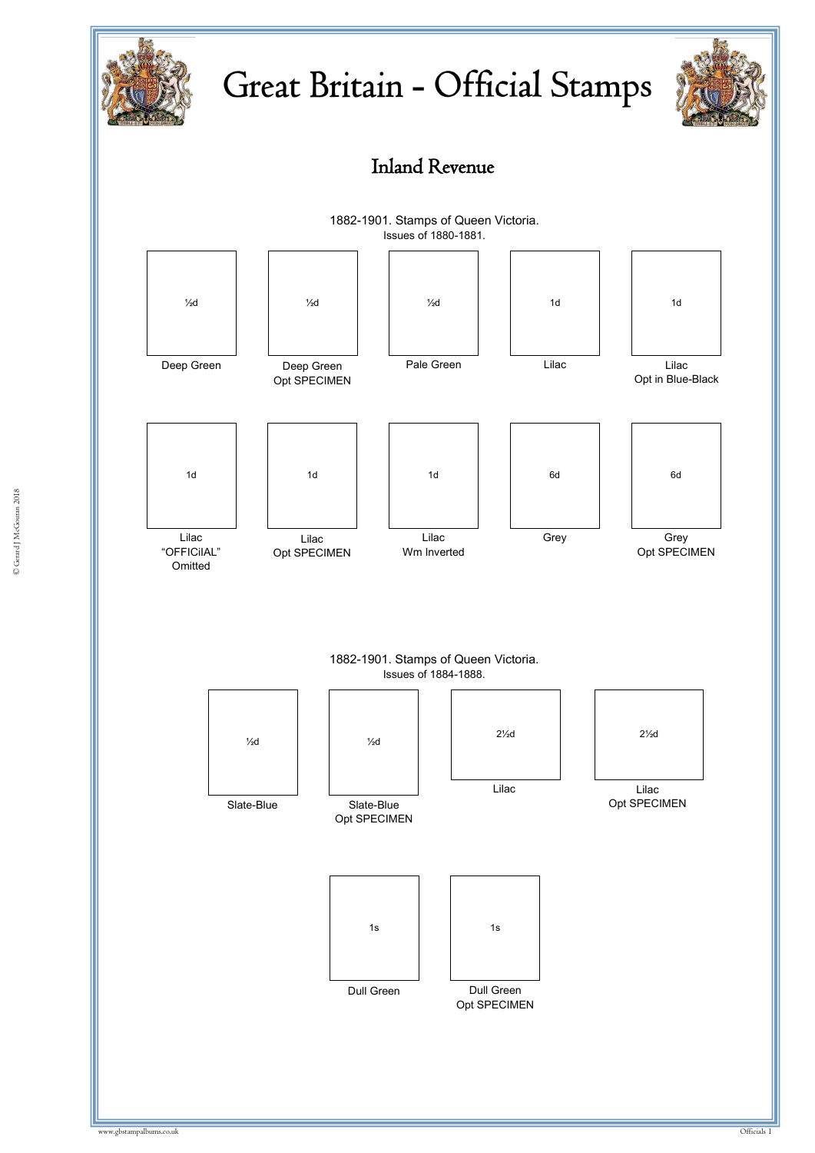

## Great Britain - Official Stamps







1882-1901. Stamps of Queen Victoria. Issues of 1884-1888.

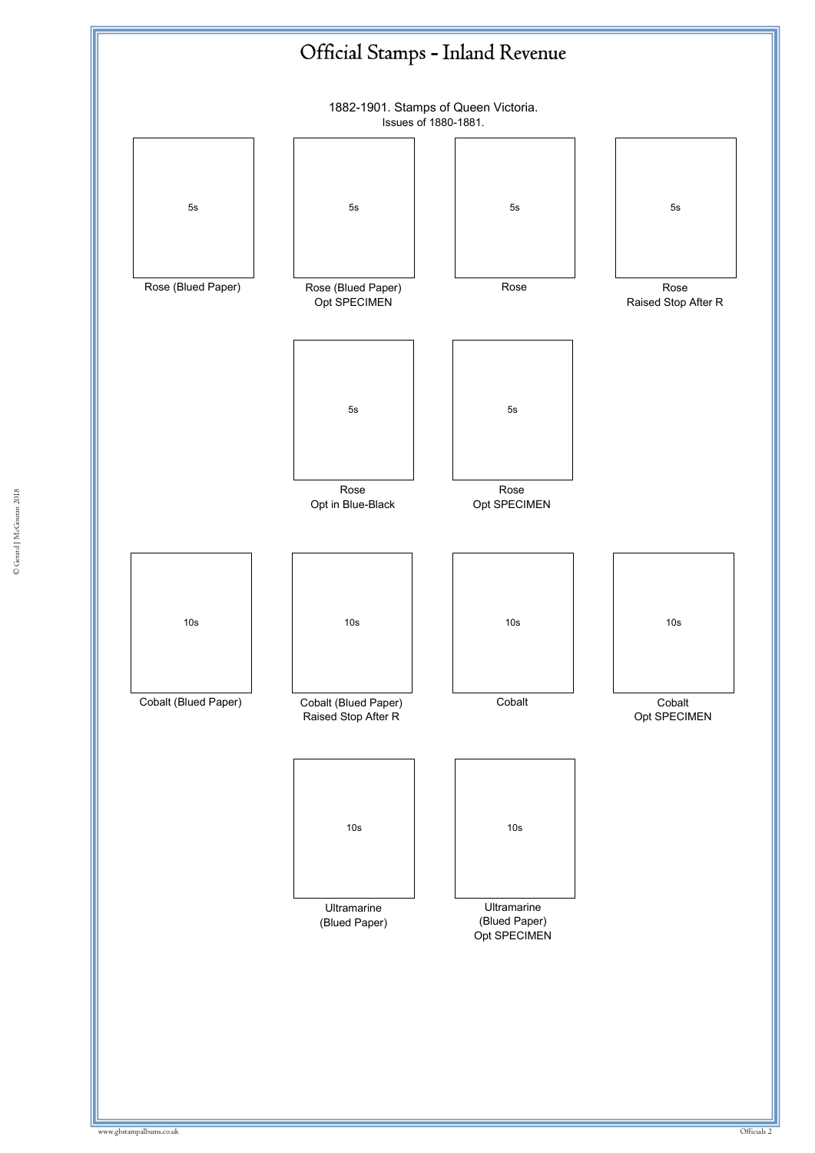

© Gerard J McGouran 2018 © Gerard J McGouran 2018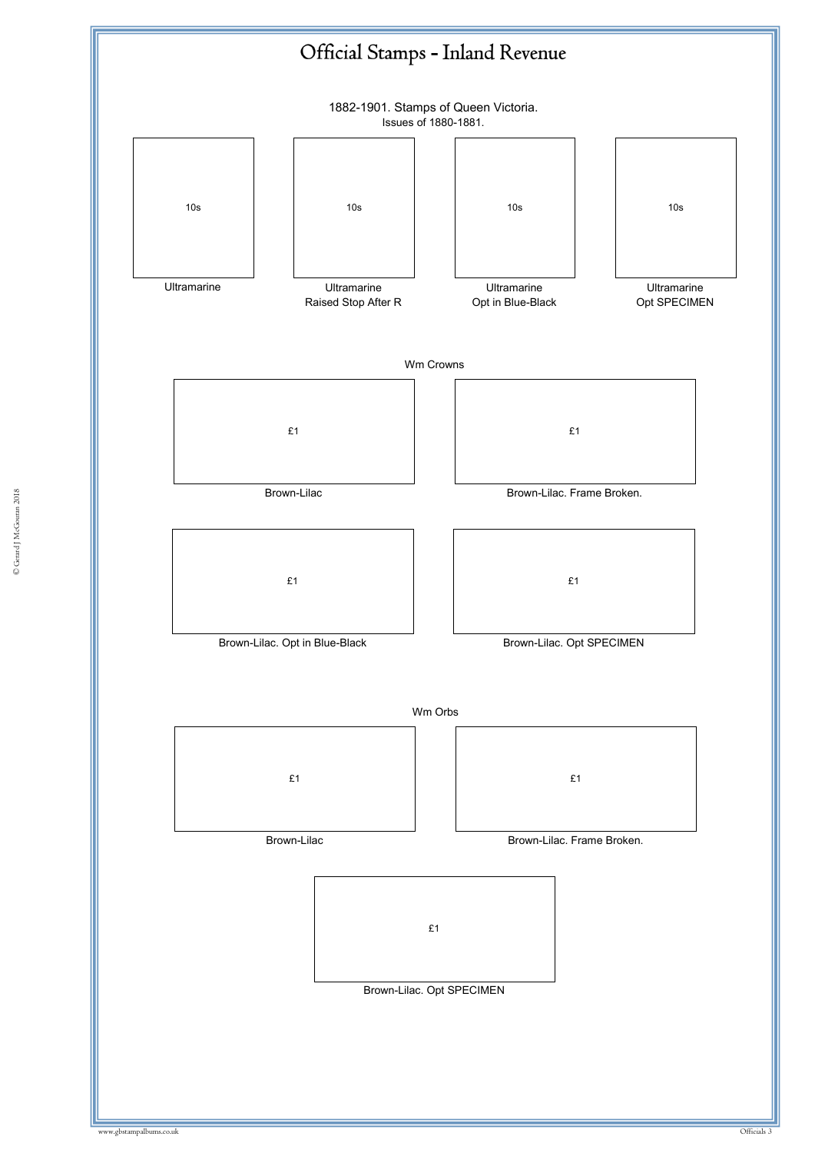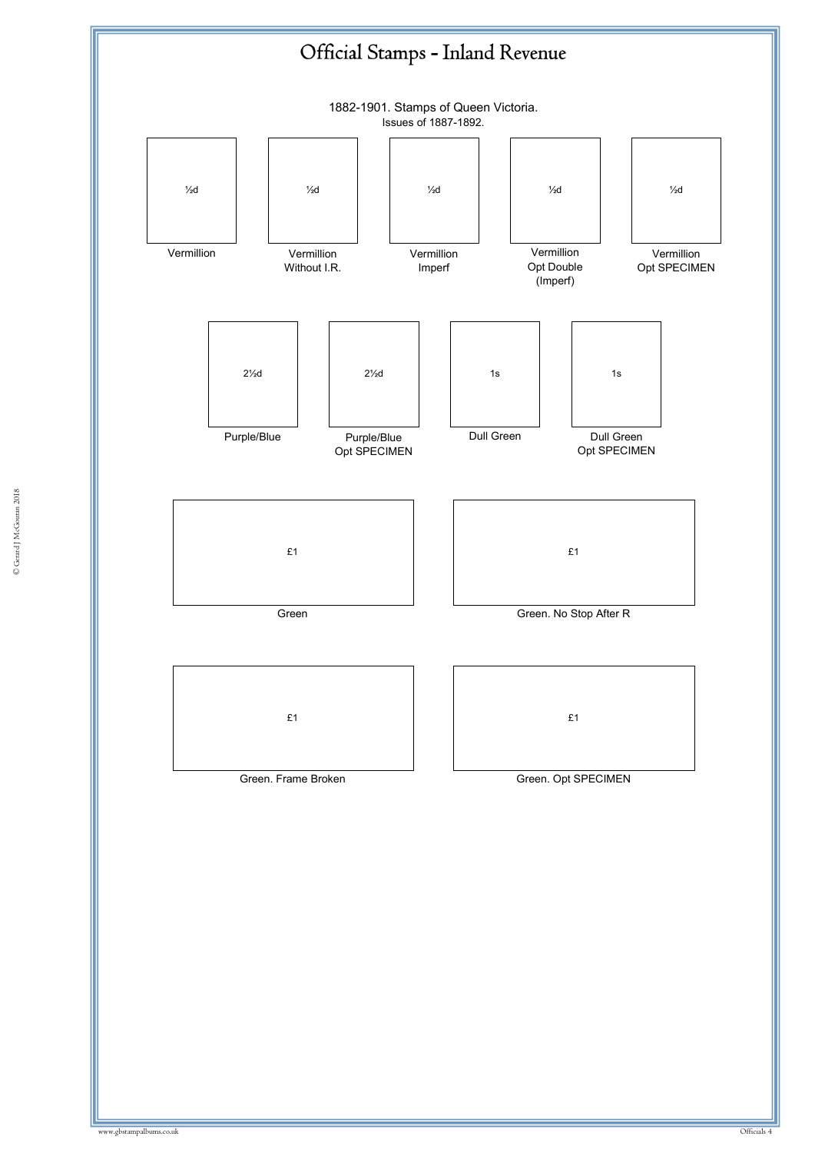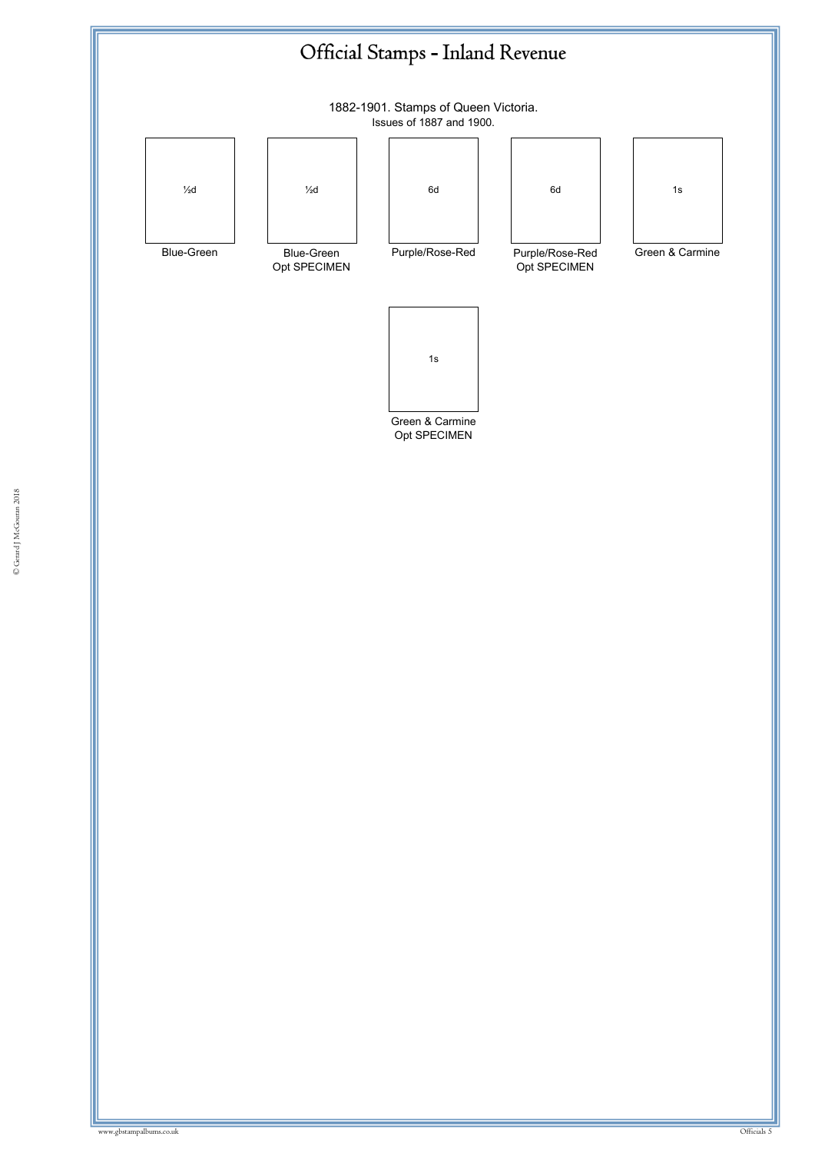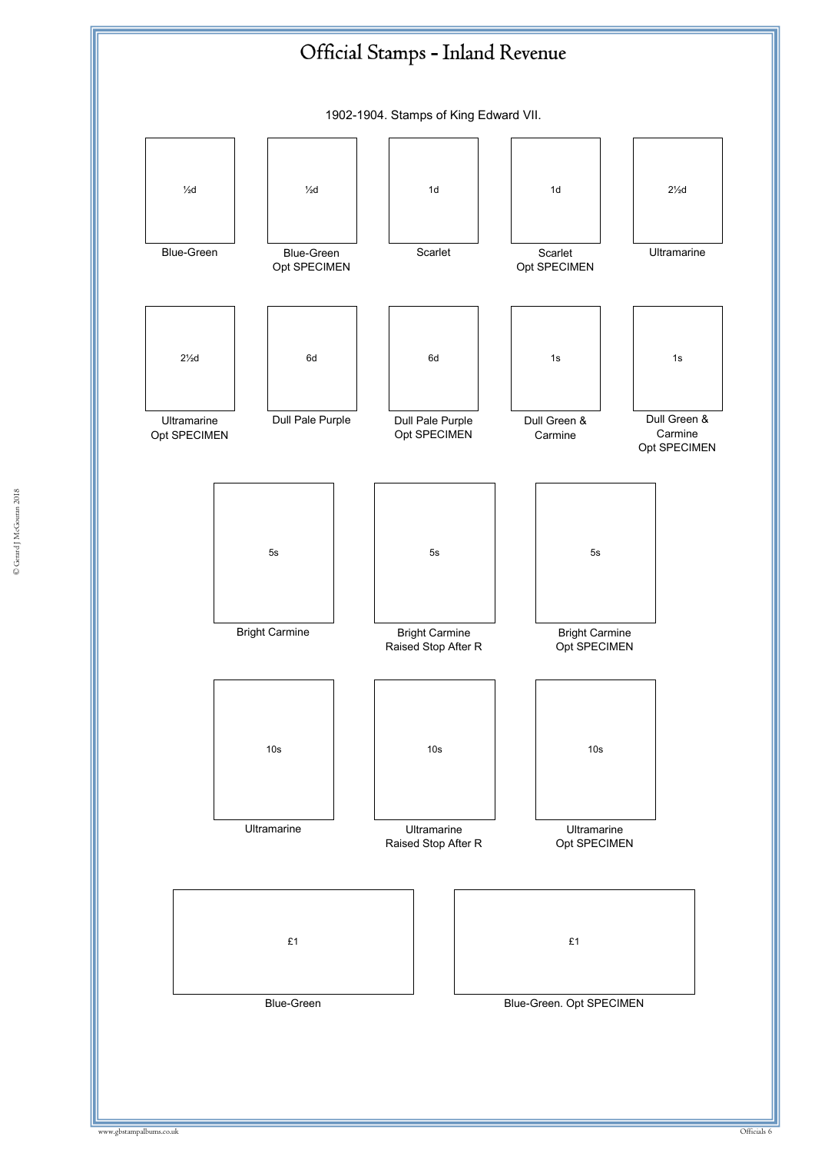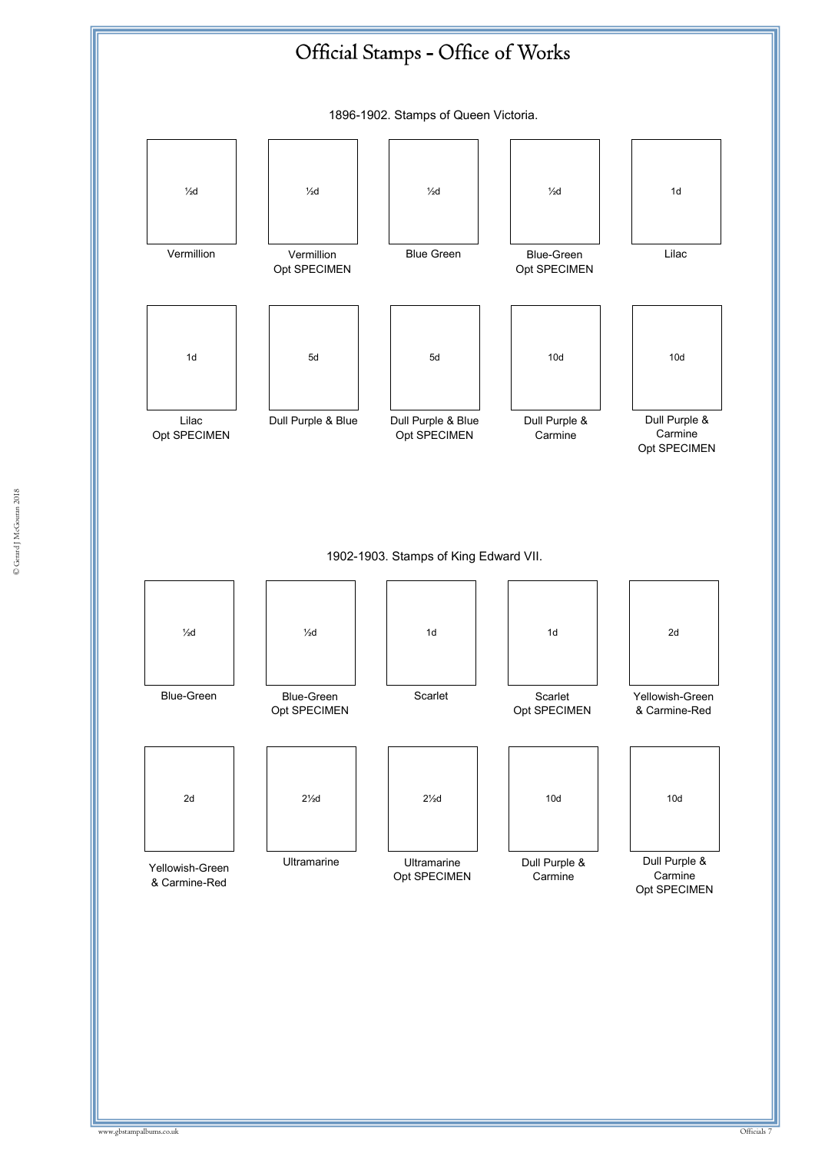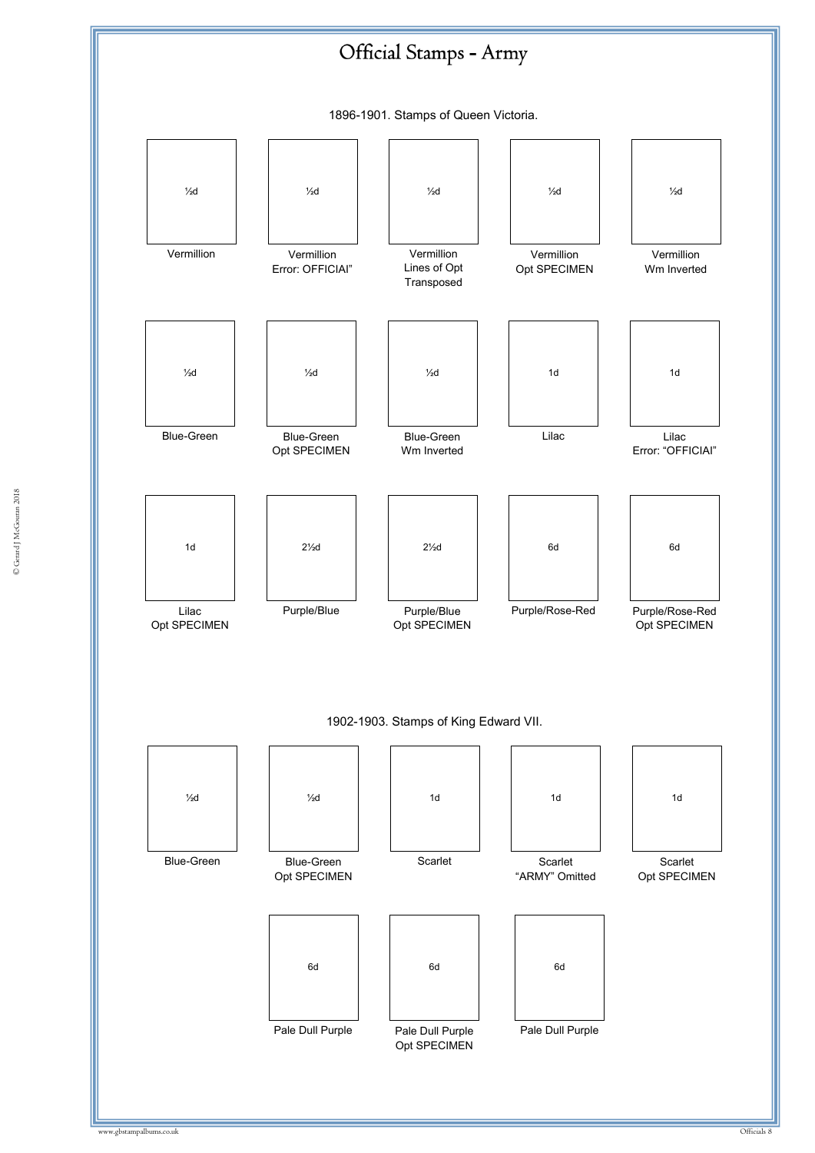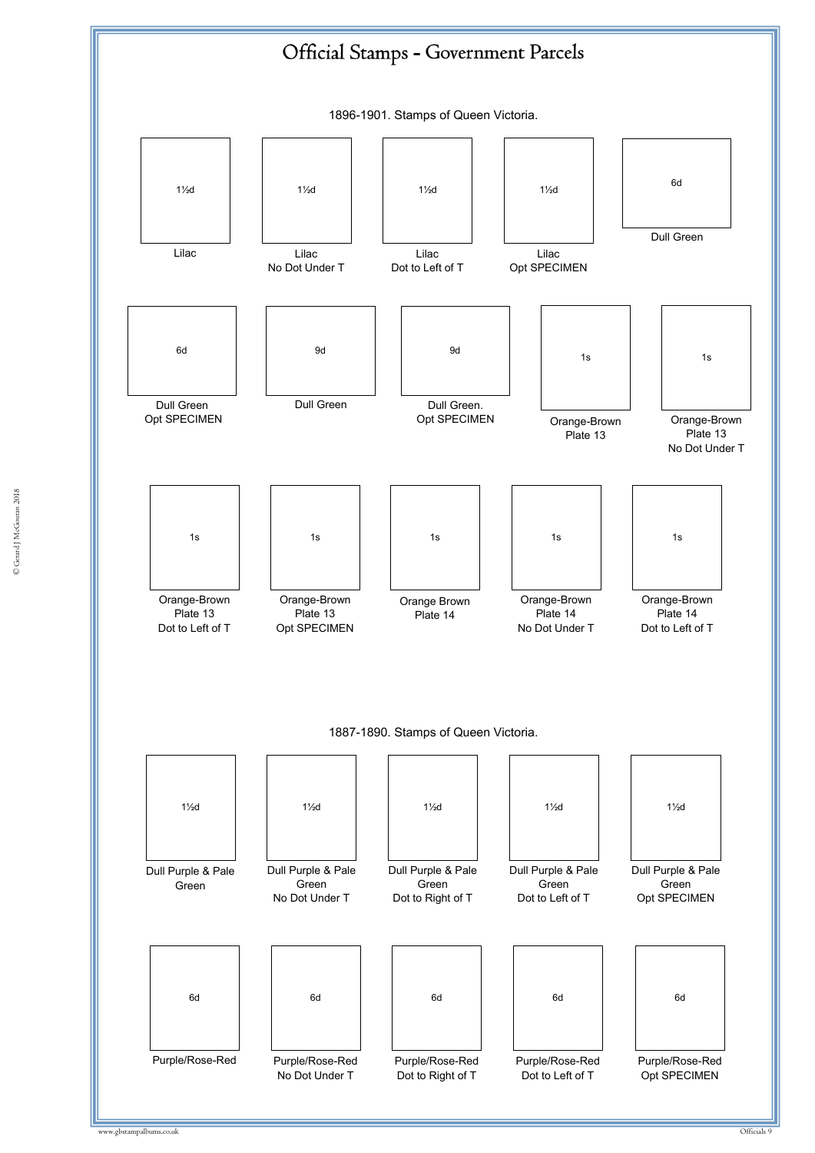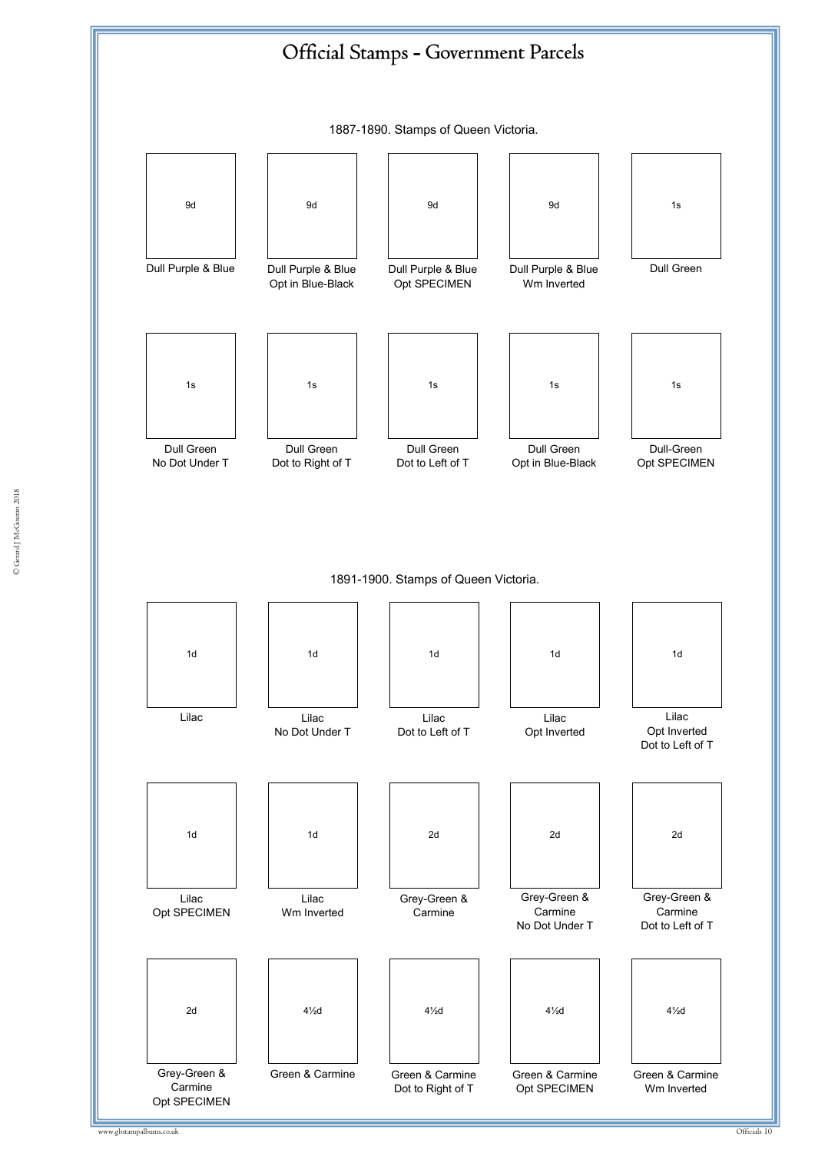

© Gerard J McGouran 2018 © Gerard J McGouran 2018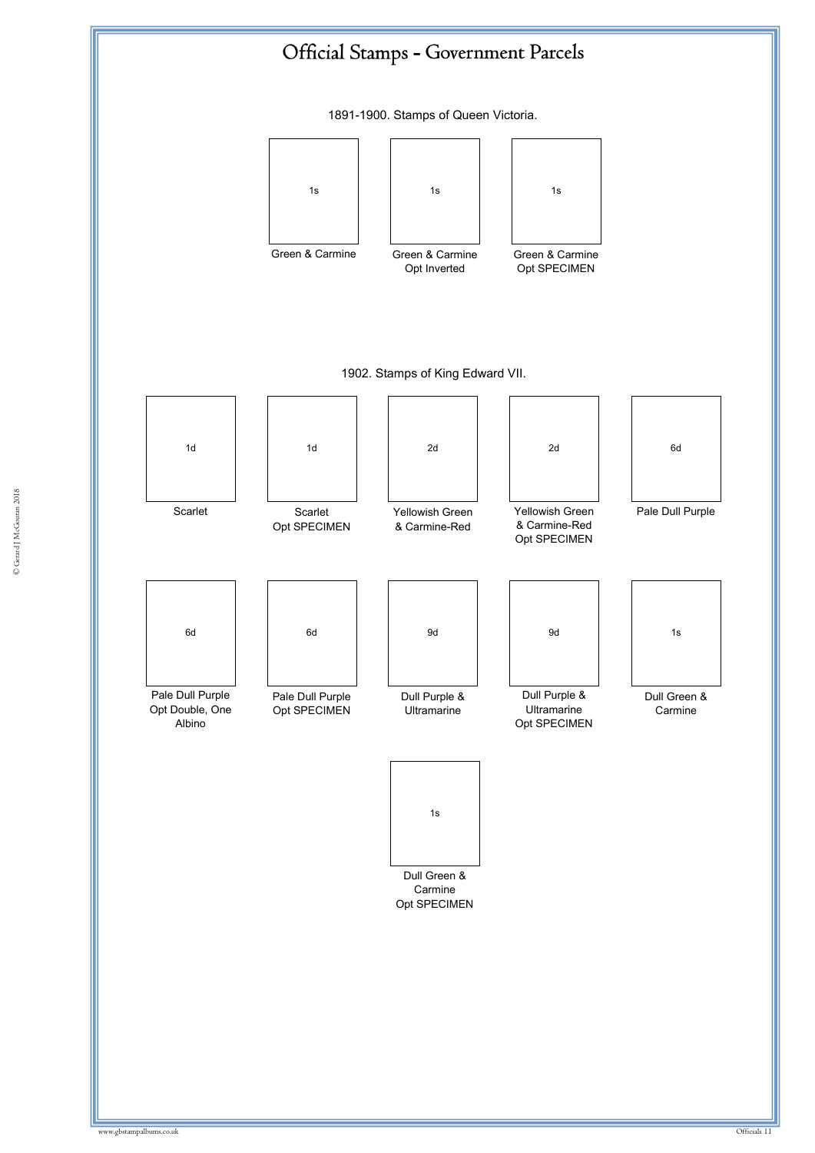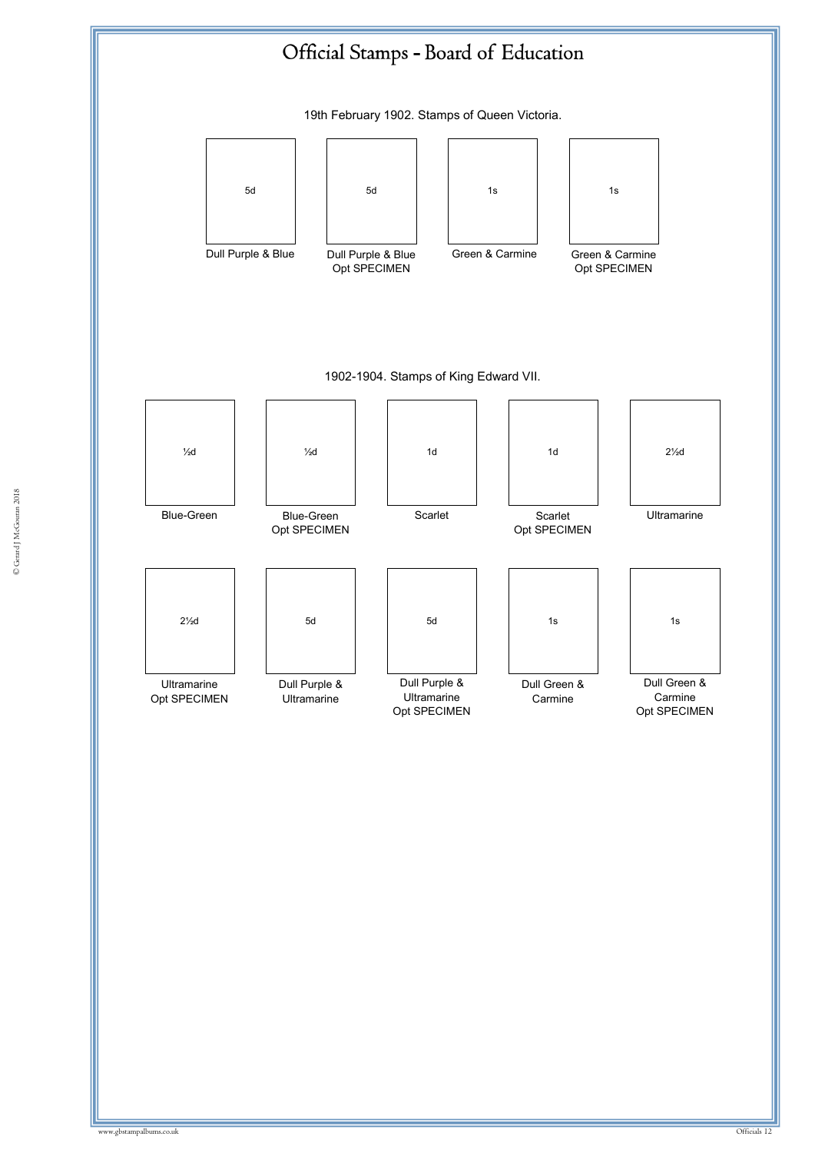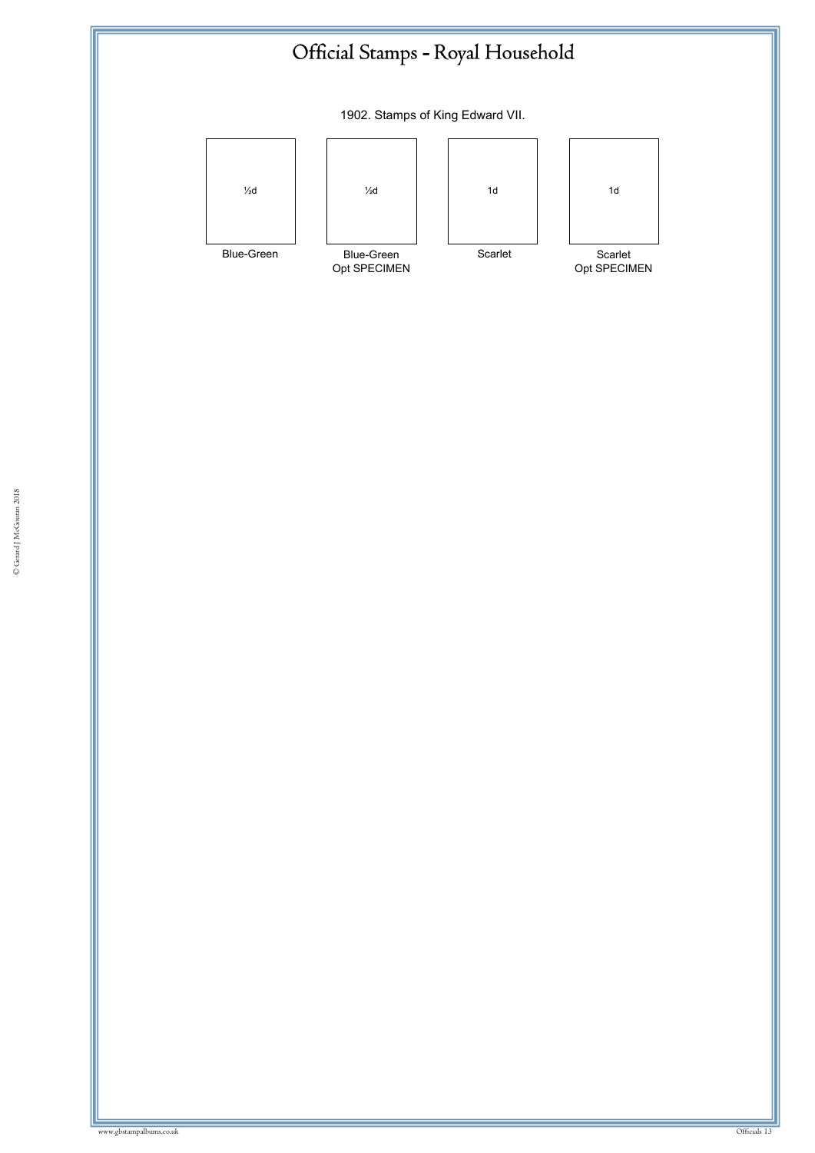

1902. Stamps of King Edward VII.

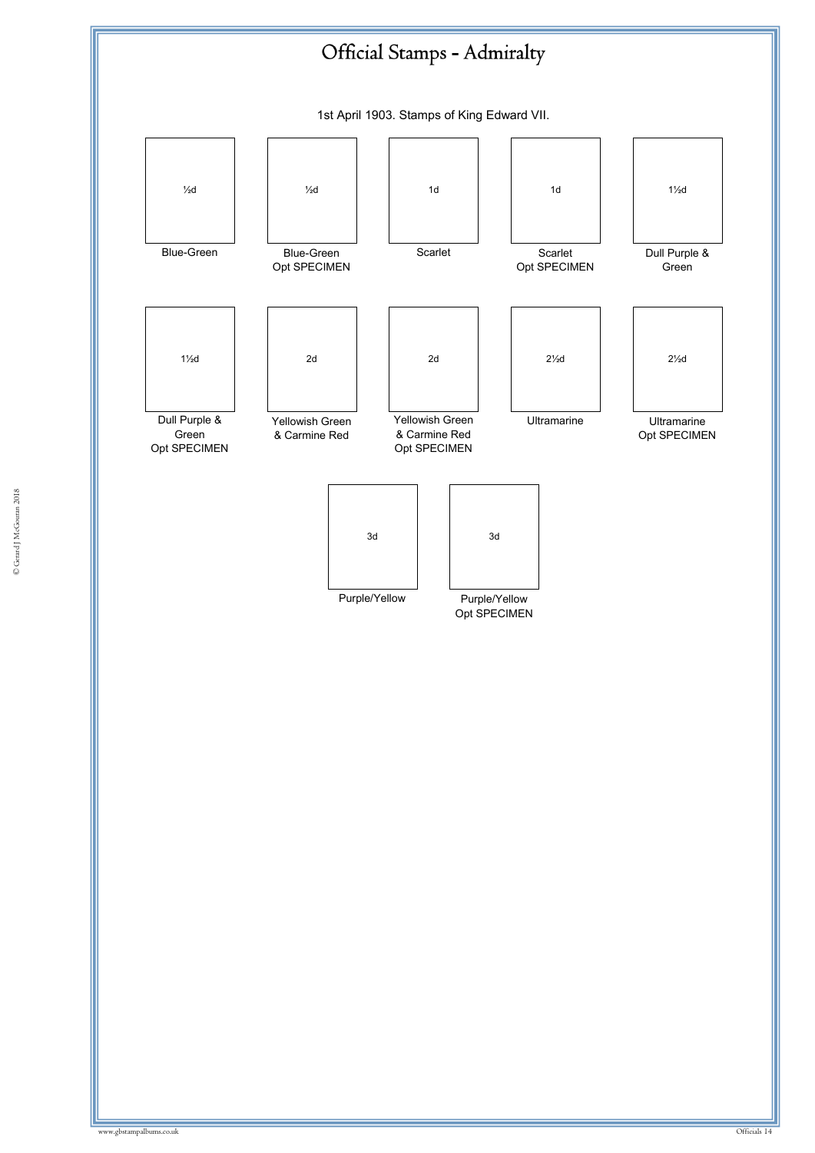